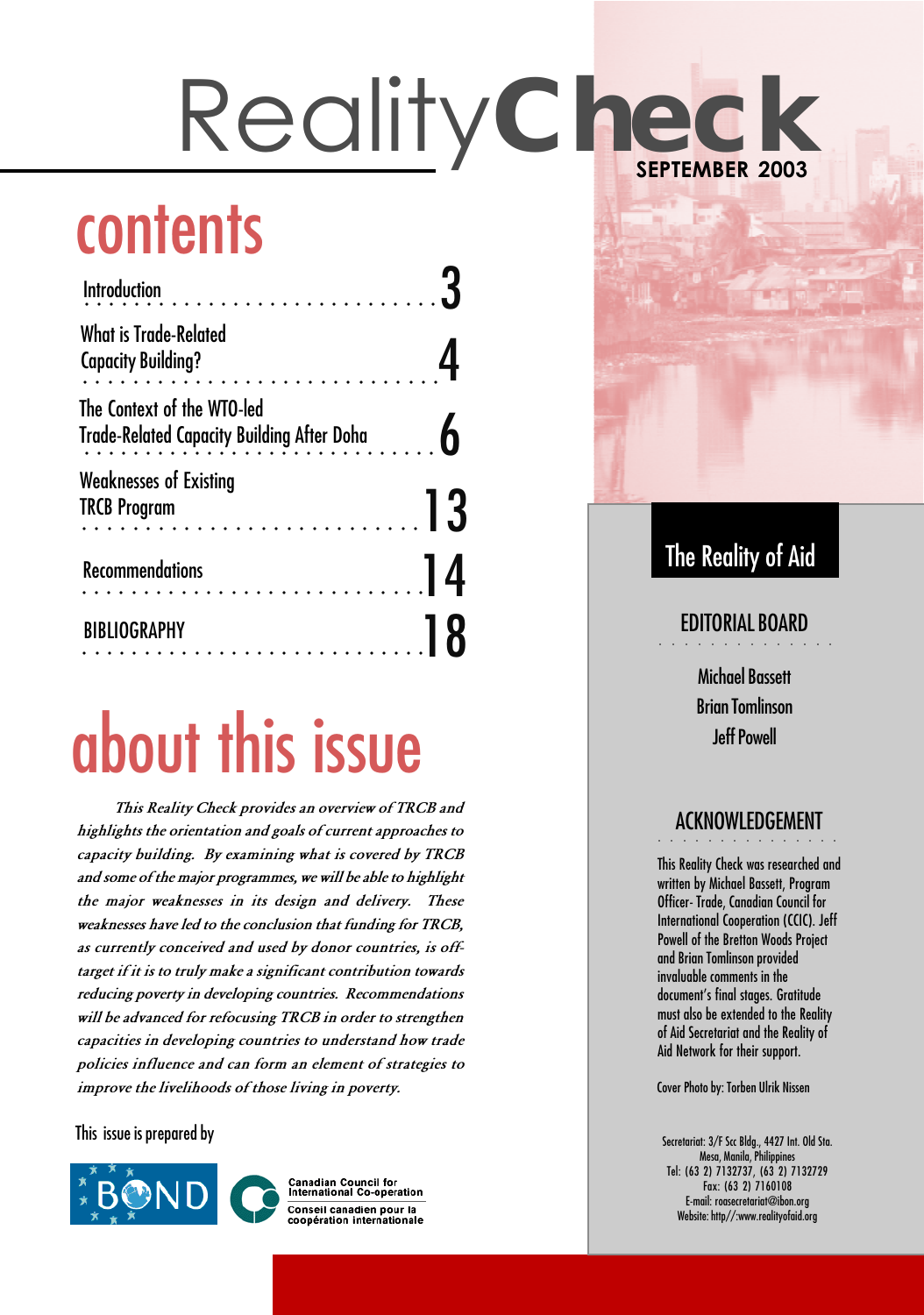## **contents**

| $\overline{\phantom{0}13}$ |
|----------------------------|
| $\vert$ 4                  |
|                            |
|                            |

## about this issue

This Reality Check provides an overview of TRCB and highlights the orientation and goals of current approaches to capacity building. By examining what is covered by TRCB and some of the major programmes, we will be able to highlight the major weaknesses in its design and delivery. These weaknesses have led to the conclusion that funding for TRCB, as currently conceived and used by donor countries, is offtarget if it is to truly make a significant contribution towards reducing poverty in developing countries. Recommendations will be advanced for refocusing TRCB in order to strengthen capacities in developing countries to understand how trade policies influence and can form an element of strategies to improve the livelihoods of those living in poverty.

This issue is prepared by



**Canadian Council for<br>International Co-operation** Conseil canadien pour la<br>coopération internationale

#### The Reality of Aid

#### EDITORIAL BOARD . . . . . . . . . . . .

Michael Bassett Brian Tomlinson Jeff Powell

#### . . . . . . . . . . . . . ACKNOWLEDGEMENT

This Reality Check was researched and written by Michael Bassett, Program Officer- Trade, Canadian Council for International Cooperation (CCIC). Jeff Powell of the Bretton Woods Project and Brian Tomlinson provided invaluable comments in the document's final stages. Gratitude must also be extended to the Reality of Aid Secretariat and the Reality of Aid Network for their support.

Cover Photo by: Torben Ulrik Nissen

Secretariat: 3/F Scc Bldg., 4427 Int. Old Sta. Mesa, Manila, Philippines Tel: (63 2) 7132737, (63 2) 7132729 Fax: (63 2) 7160108 E-mail: roasecretariat@ibon.org Website: http//:www.realityofaid.org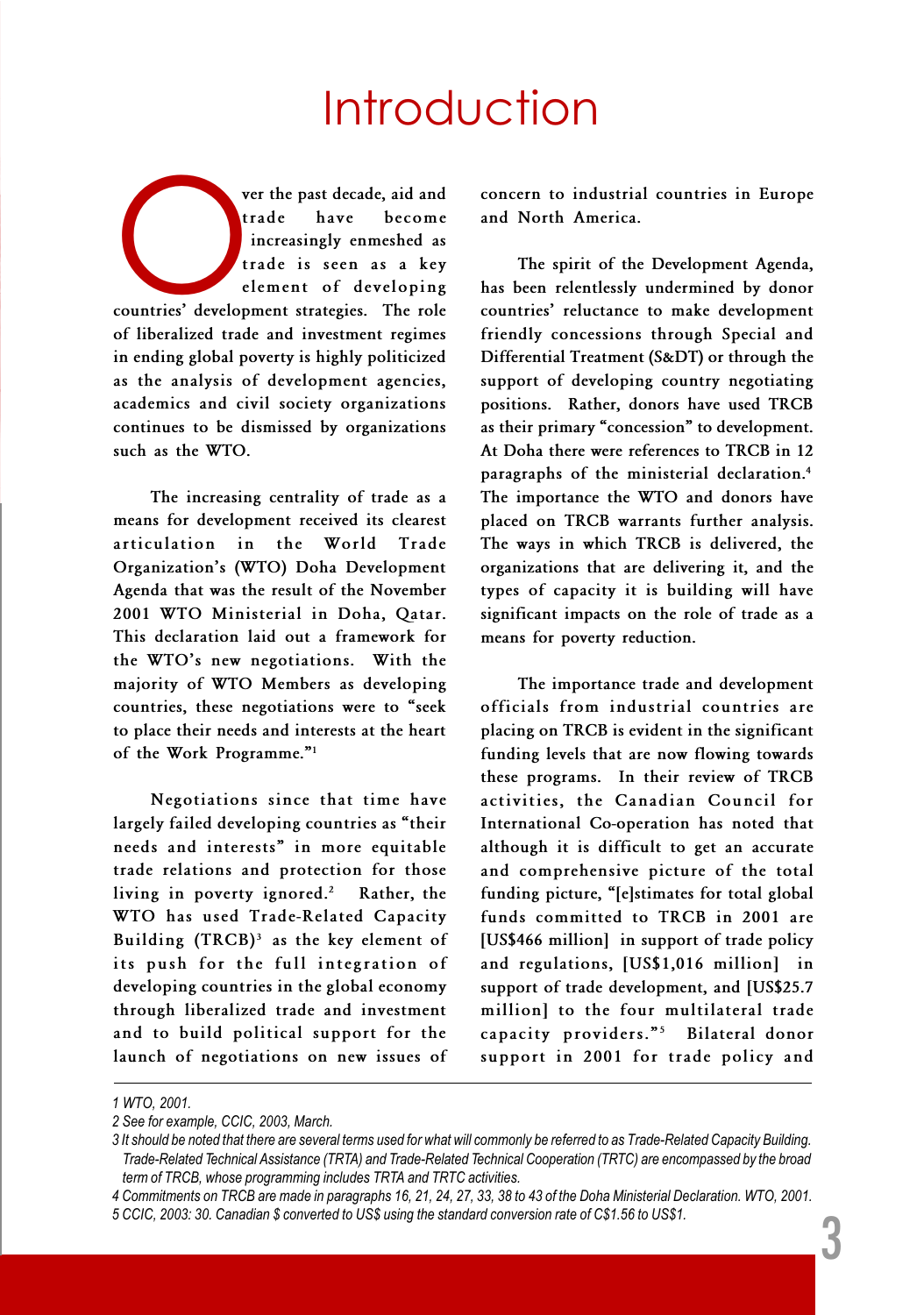### **Introduction**

ver the past decade, aid and<br>
trade have become<br>
increasingly enmeshed as<br>
trade is seen as a key<br>
element of developing<br>
countries' development strategies. The role trade have become increasingly enmeshed as trade is seen as a key element of developing of liberalized trade and investment regimes in ending global poverty is highly politicized as the analysis of development agencies, academics and civil society organizations continues to be dismissed by organizations such as the WTO.

The increasing centrality of trade as a means for development received its clearest articulation in the World Trade Organization's (WTO) Doha Development Agenda that was the result of the November 2001 WTO Ministerial in Doha, Qatar. This declaration laid out a framework for the WTO's new negotiations. With the majority of WTO Members as developing countries, these negotiations were to "seek to place their needs and interests at the heart of the Work Programme."<sup>1</sup>

Negotiations since that time have largely failed developing countries as "their needs and interests" in more equitable trade relations and protection for those living in poverty ignored.<sup>2</sup> Rather, the WTO has used Trade-Related Capacity Building  $(TRCB)^3$  as the key element of its push for the full integration of developing countries in the global economy through liberalized trade and investment and to build political support for the launch of negotiations on new issues of concern to industrial countries in Europe and North America.

The spirit of the Development Agenda, has been relentlessly undermined by donor countries' reluctance to make development friendly concessions through Special and Differential Treatment (S&DT) or through the support of developing country negotiating positions. Rather, donors have used TRCB as their primary "concession" to development. At Doha there were references to TRCB in 12 paragraphs of the ministerial declaration.<sup>4</sup> The importance the WTO and donors have placed on TRCB warrants further analysis. The ways in which TRCB is delivered, the organizations that are delivering it, and the types of capacity it is building will have significant impacts on the role of trade as a means for poverty reduction.

The importance trade and development officials from industrial countries are placing on TRCB is evident in the significant funding levels that are now flowing towards these programs. In their review of TRCB activities, the Canadian Council for International Co-operation has noted that although it is difficult to get an accurate and comprehensive picture of the total funding picture, "[e]stimates for total global funds committed to TRCB in 2001 are [US\$466 million] in support of trade policy and regulations, [US\$1,016 million] in support of trade development, and [US\$25.7 million] to the four multilateral trade capacity providers."<sup>5</sup> Bilateral donor support in 2001 for trade policy and

<sup>1</sup> WTO, 2001.

<sup>2</sup> See for example, CCIC, 2003, March.

<sup>3</sup> It should be noted that there are several terms used for what will commonly be referred to as Trade-Related Capacity Building. Trade-Related Technical Assistance (TRTA) and Trade-Related Technical Cooperation (TRTC) are encompassed by the broad term of TRCB, whose programming includes TRTA and TRTC activities.

<sup>4</sup> Commitments on TRCB are made in paragraphs 16, 21, 24, 27, 33, 38 to 43 of the Doha Ministerial Declaration. WTO, 2001. 5 CCIC, 2003: 30. Canadian \$ converted to US\$ using the standard conversion rate of C\$1.56 to US\$1.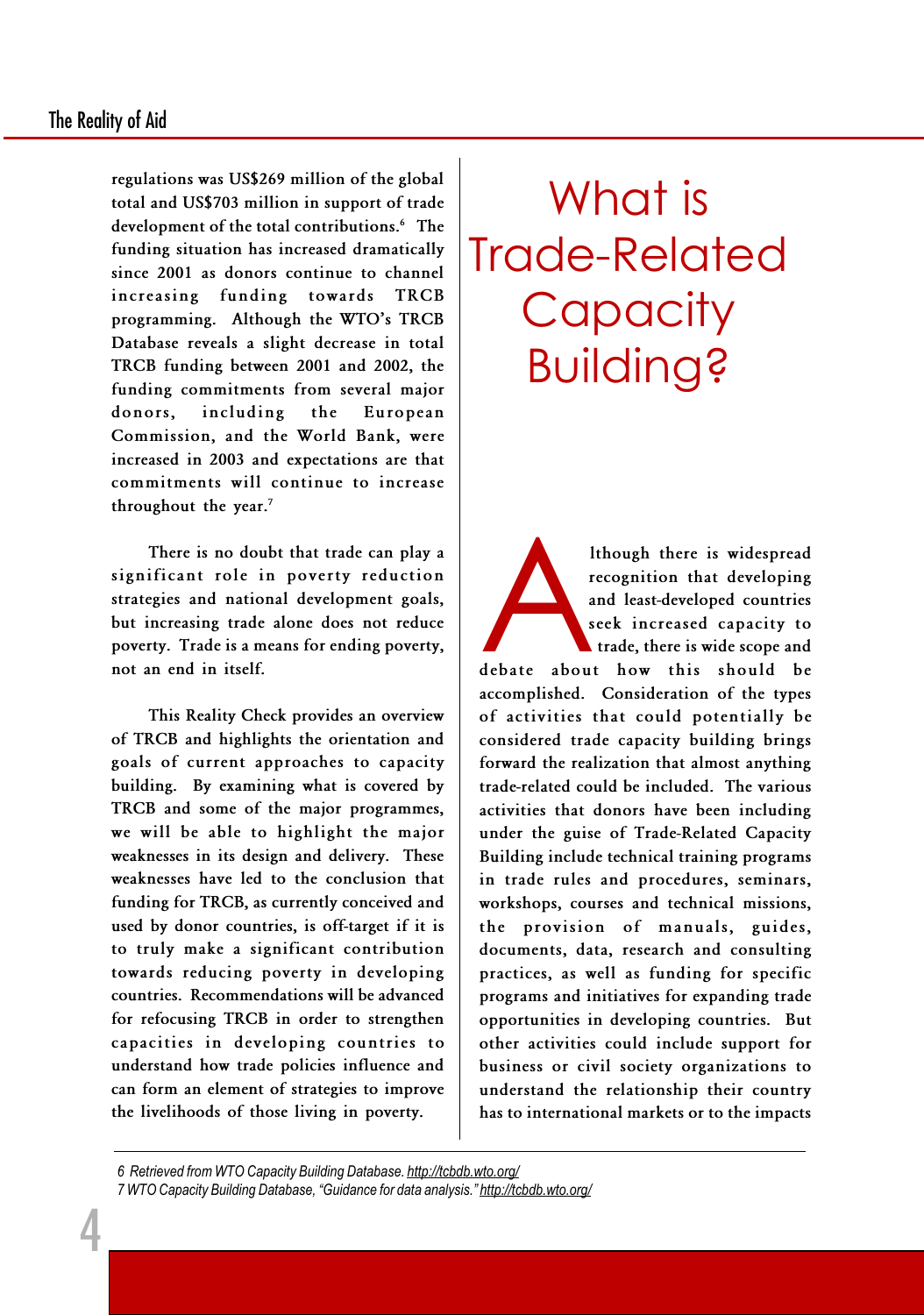regulations was US\$269 million of the global total and US\$703 million in support of trade development of the total contributions.<sup>6</sup> The funding situation has increased dramatically since 2001 as donors continue to channel increasing funding towards TRCB programming. Although the WTO's TRCB Database reveals a slight decrease in total TRCB funding between 2001 and 2002, the funding commitments from several major donors, including the European Commission, and the World Bank, were increased in 2003 and expectations are that commitments will continue to increase throughout the year.<sup>7</sup>

There is no doubt that trade can play a significant role in poverty reduction strategies and national development goals, but increasing trade alone does not reduce poverty. Trade is a means for ending poverty, not an end in itself.

This Reality Check provides an overview of TRCB and highlights the orientation and goals of current approaches to capacity building. By examining what is covered by TRCB and some of the major programmes, we will be able to highlight the major weaknesses in its design and delivery. These weaknesses have led to the conclusion that funding for TRCB, as currently conceived and used by donor countries, is off-target if it is to truly make a significant contribution towards reducing poverty in developing countries. Recommendations will be advanced for refocusing TRCB in order to strengthen capacities in developing countries to understand how trade policies influence and can form an element of strategies to improve the livelihoods of those living in poverty.

## What is Trade-Related **Capacity** Building?

Ithough there is widespread<br>recognition that developing<br>and least-developed countries<br>seek increased capacity to<br>trade, there is wide scope and<br>debate about how this should be recognition that developing and least-developed countries seek increased capacity to trade, there is wide scope and debate about how this should be accomplished. Consideration of the types of activities that could potentially be considered trade capacity building brings forward the realization that almost anything trade-related could be included. The various activities that donors have been including under the guise of Trade-Related Capacity Building include technical training programs in trade rules and procedures, seminars, workshops, courses and technical missions, the provision of manuals, guides, documents, data, research and consulting practices, as well as funding for specific programs and initiatives for expanding trade opportunities in developing countries. But other activities could include support for business or civil society organizations to understand the relationship their country has to international markets or to the impacts

<sup>6</sup> Retrieved from WTO Capacity Building Database. http://tcbdb.wto.org/ 7 WTO Capacity Building Database, "Guidance for data analysis." http://tcbdb.wto.org/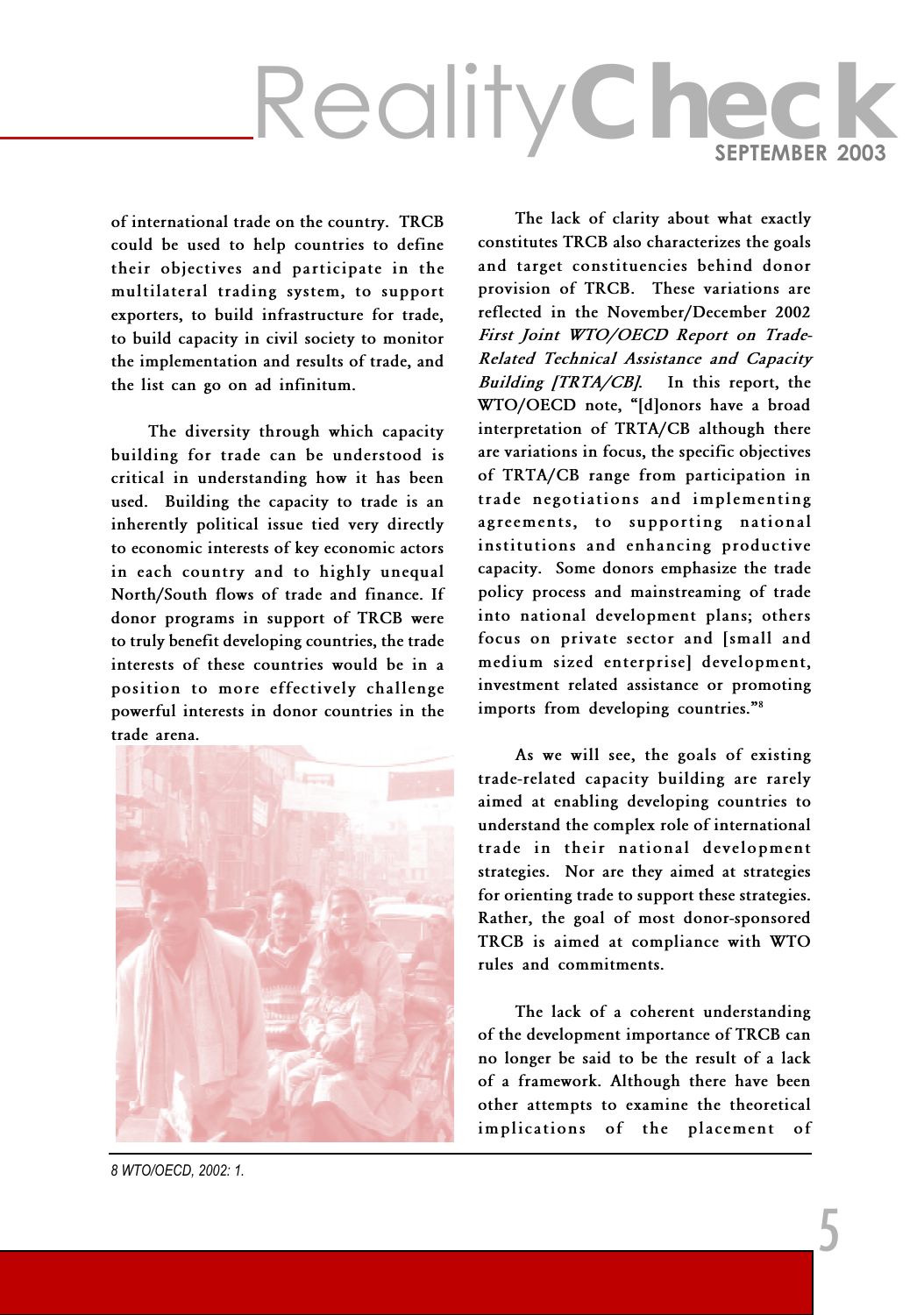of international trade on the country. TRCB could be used to help countries to define their objectives and participate in the multilateral trading system, to support exporters, to build infrastructure for trade, to build capacity in civil society to monitor the implementation and results of trade, and the list can go on ad infinitum.

The diversity through which capacity building for trade can be understood is critical in understanding how it has been used. Building the capacity to trade is an inherently political issue tied very directly to economic interests of key economic actors in each country and to highly unequal North/South flows of trade and finance. If donor programs in support of TRCB were to truly benefit developing countries, the trade interests of these countries would be in a position to more effectively challenge powerful interests in donor countries in the trade arena.



The lack of clarity about what exactly constitutes TRCB also characterizes the goals and target constituencies behind donor provision of TRCB. These variations are reflected in the November/December 2002 First Joint WTO/OECD Report on Trade-Related Technical Assistance and Capacity Building  $ITRTA/CB$ . In this report, the WTO/OECD note, "[d]onors have a broad interpretation of TRTA/CB although there are variations in focus, the specific objectives of TRTA/CB range from participation in trade negotiations and implementing agreements, to supporting national institutions and enhancing productive capacity. Some donors emphasize the trade policy process and mainstreaming of trade into national development plans; others focus on private sector and [small and medium sized enterprise] development, investment related assistance or promoting imports from developing countries."<sup>8</sup>

As we will see, the goals of existing trade-related capacity building are rarely aimed at enabling developing countries to understand the complex role of international trade in their national development strategies. Nor are they aimed at strategies for orienting trade to support these strategies. Rather, the goal of most donor-sponsored TRCB is aimed at compliance with WTO rules and commitments.

The lack of a coherent understanding of the development importance of TRCB can no longer be said to be the result of a lack of a framework. Although there have been other attempts to examine the theoretical implications of the placement of

8 WTO/OECD, 2002: 1.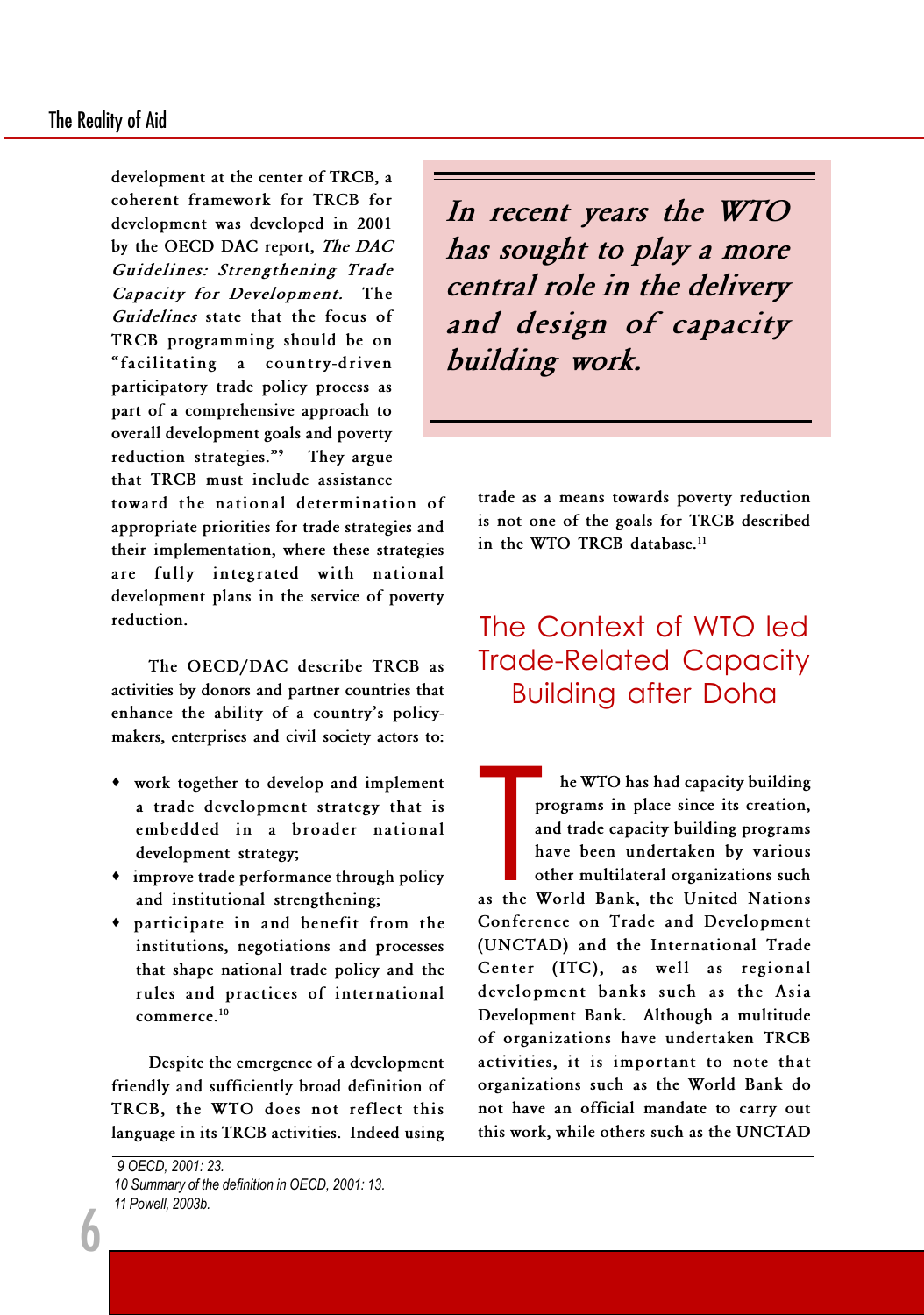development at the center of TRCB, a coherent framework for TRCB for development was developed in 2001 by the OECD DAC report, The DAC Guidelines: Strengthening Trade Capacity for Development. The Guidelines state that the focus of TRCB programming should be on facilitating a country-driven participatory trade policy process as part of a comprehensive approach to overall development goals and poverty reduction strategies."<sup>9</sup> They argue that TRCB must include assistance

toward the national determination of appropriate priorities for trade strategies and their implementation, where these strategies are fully integrated with national development plans in the service of poverty reduction.

The OECD/DAC describe TRCB as activities by donors and partner countries that enhance the ability of a country's policymakers, enterprises and civil society actors to:

- · work together to develop and implement a trade development strategy that is embedded in a broader national development strategy;
- · improve trade performance through policy and institutional strengthening;
- · participate in and benefit from the institutions, negotiations and processes that shape national trade policy and the rules and practices of international commerce.<sup>10</sup>

Despite the emergence of a development friendly and sufficiently broad definition of TRCB, the WTO does not reflect this language in its TRCB activities. Indeed using

6

In recent years the WTO has sought to play a more central role in the delivery and design of capacity building work.

trade as a means towards poverty reduction is not one of the goals for TRCB described in the WTO TRCB database.<sup>11</sup>

#### The Context of WTO led Trade-Related Capacity Building after Doha

P<br>
a<br>
h<br>
o<br>
a<br>
the V<br>
o<br>
f he WTO has had capacity building programs in place since its creation, and trade capacity building programs have been undertaken by various other multilateral organizations such as the World Bank, the United Nations Conference on Trade and Development (UNCTAD) and the International Trade Center (ITC), as well as regional development banks such as the Asia Development Bank. Although a multitude of organizations have undertaken TRCB activities, it is important to note that organizations such as the World Bank do not have an official mandate to carry out this work, while others such as the UNCTAD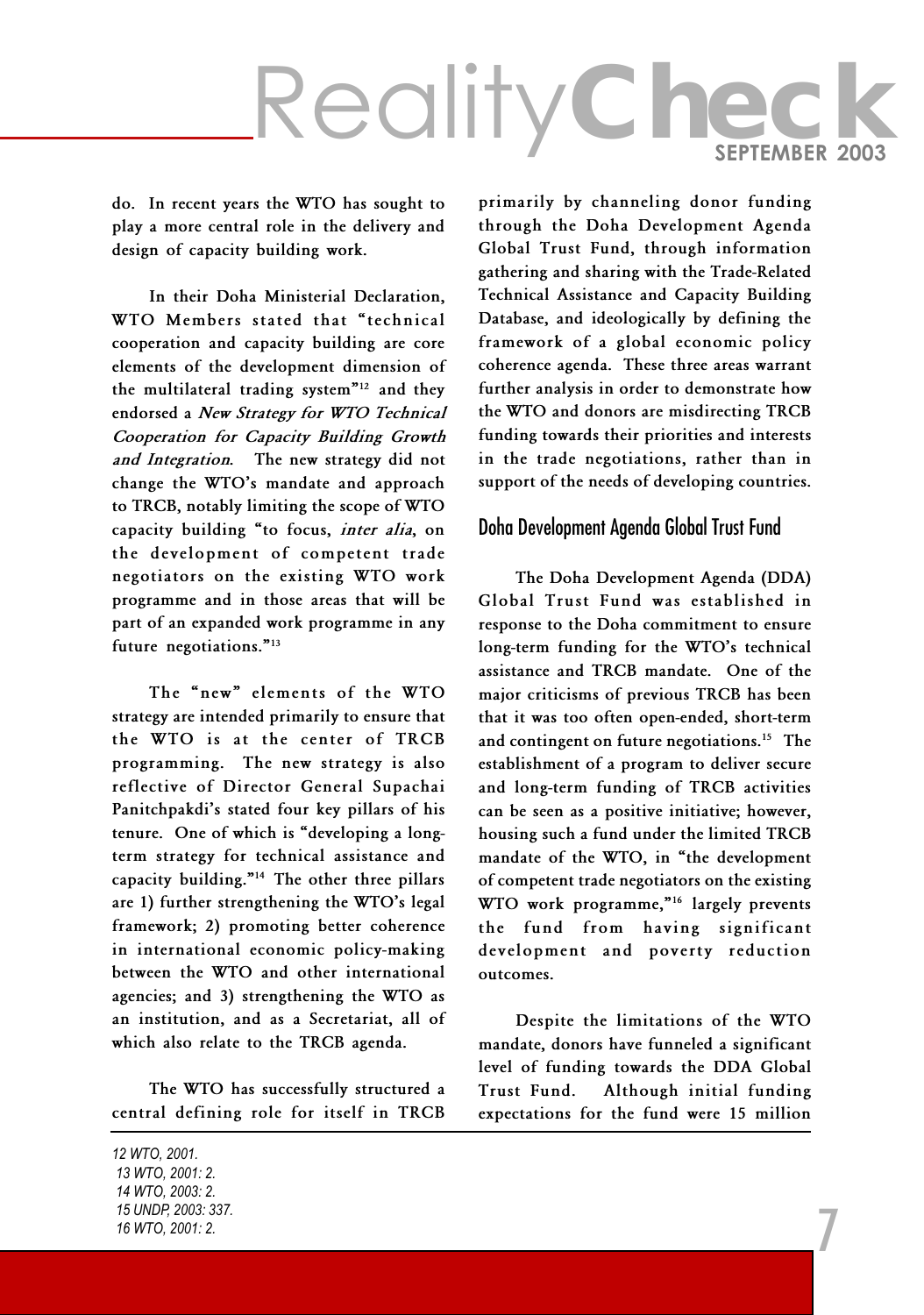do. In recent years the WTO has sought to play a more central role in the delivery and design of capacity building work.

In their Doha Ministerial Declaration, WTO Members stated that "technical cooperation and capacity building are core elements of the development dimension of the multilateral trading system $12$  and they endorsed a New Strategy for WTO Technical Cooperation for Capacity Building Growth and Integration. The new strategy did not change the WTO's mandate and approach to TRCB, notably limiting the scope of WTO capacity building "to focus, inter alia, on the development of competent trade negotiators on the existing WTO work programme and in those areas that will be part of an expanded work programme in any future negotiations."<sup>13</sup>

The "new" elements of the WTO strategy are intended primarily to ensure that the WTO is at the center of TRCB programming. The new strategy is also reflective of Director General Supachai Panitchpakdi's stated four key pillars of his tenure. One of which is "developing a longterm strategy for technical assistance and capacity building."<sup>14</sup> The other three pillars are 1) further strengthening the WTO's legal framework; 2) promoting better coherence in international economic policy-making between the WTO and other international agencies; and 3) strengthening the WTO as an institution, and as a Secretariat, all of which also relate to the TRCB agenda.

The WTO has successfully structured a central defining role for itself in TRCB

primarily by channeling donor funding through the Doha Development Agenda Global Trust Fund, through information gathering and sharing with the Trade-Related Technical Assistance and Capacity Building Database, and ideologically by defining the framework of a global economic policy coherence agenda. These three areas warrant further analysis in order to demonstrate how the WTO and donors are misdirecting TRCB funding towards their priorities and interests in the trade negotiations, rather than in support of the needs of developing countries.

#### Doha Development Agenda Global Trust Fund

The Doha Development Agenda (DDA) Global Trust Fund was established in response to the Doha commitment to ensure long-term funding for the WTO's technical assistance and TRCB mandate. One of the major criticisms of previous TRCB has been that it was too often open-ended, short-term and contingent on future negotiations.<sup>15</sup> The establishment of a program to deliver secure and long-term funding of TRCB activities can be seen as a positive initiative; however, housing such a fund under the limited TRCB mandate of the WTO, in "the development of competent trade negotiators on the existing WTO work programme,"<sup>16</sup> largely prevents the fund from having significant development and poverty reduction outcomes.

Despite the limitations of the WTO mandate, donors have funneled a significant level of funding towards the DDA Global Trust Fund. Although initial funding expectations for the fund were 15 million

7

12 WTO, 2001. 13 WTO, 2001: 2. 14 WTO, 2003: 2. 15 UNDP, 2003: 337. 16 WTO, 2001: 2.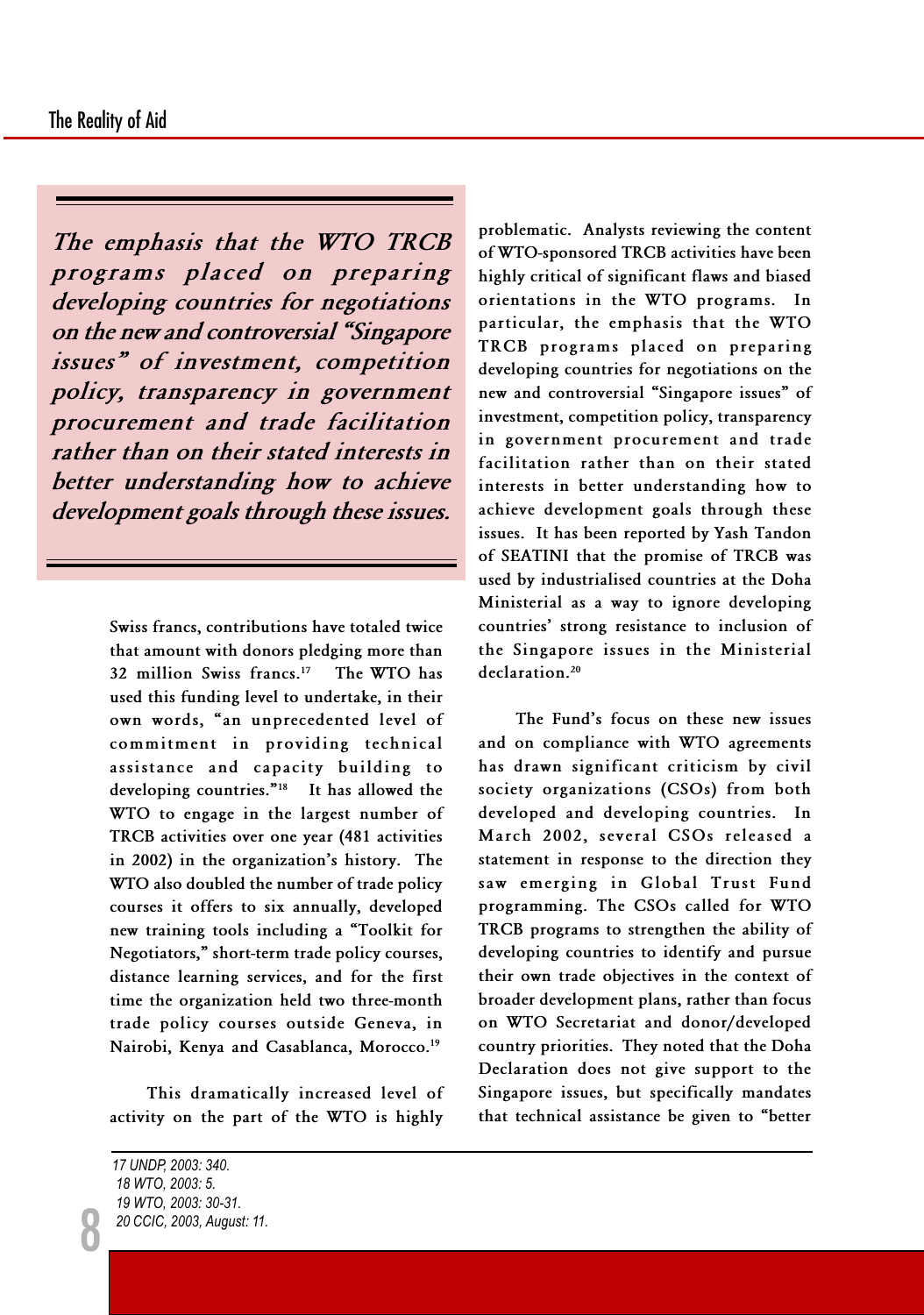The emphasis that the WTO TRCB programs placed on preparing developing countries for negotiations on the new and controversial "Singapore" issues" of investment, competition policy, transparency in government procurement and trade facilitation rather than on their stated interests in better understanding how to achieve development goals through these issues.

> Swiss francs, contributions have totaled twice that amount with donors pledging more than 32 million Swiss francs.<sup>17</sup> The WTO has used this funding level to undertake, in their own words, "an unprecedented level of commitment in providing technical assistance and capacity building to developing countries."<sup>18</sup> It has allowed the WTO to engage in the largest number of TRCB activities over one year (481 activities in 2002) in the organization's history. The WTO also doubled the number of trade policy courses it offers to six annually, developed new training tools including a Toolkit for Negotiators," short-term trade policy courses, distance learning services, and for the first time the organization held two three-month trade policy courses outside Geneva, in Nairobi, Kenya and Casablanca, Morocco.<sup>19</sup>

This dramatically increased level of activity on the part of the WTO is highly

8

problematic. Analysts reviewing the content of WTO-sponsored TRCB activities have been highly critical of significant flaws and biased orientations in the WTO programs. In particular, the emphasis that the WTO TRCB programs placed on preparing developing countries for negotiations on the new and controversial "Singapore issues" of investment, competition policy, transparency in government procurement and trade facilitation rather than on their stated interests in better understanding how to achieve development goals through these issues. It has been reported by Yash Tandon of SEATINI that the promise of TRCB was used by industrialised countries at the Doha Ministerial as a way to ignore developing countries' strong resistance to inclusion of the Singapore issues in the Ministerial declaration.<sup>20</sup>

The Fund's focus on these new issues and on compliance with WTO agreements has drawn significant criticism by civil society organizations (CSOs) from both developed and developing countries. In March 2002, several CSOs released a statement in response to the direction they saw emerging in Global Trust Fund programming. The CSOs called for WTO TRCB programs to strengthen the ability of developing countries to identify and pursue their own trade objectives in the context of broader development plans, rather than focus on WTO Secretariat and donor/developed country priorities. They noted that the Doha Declaration does not give support to the Singapore issues, but specifically mandates that technical assistance be given to "better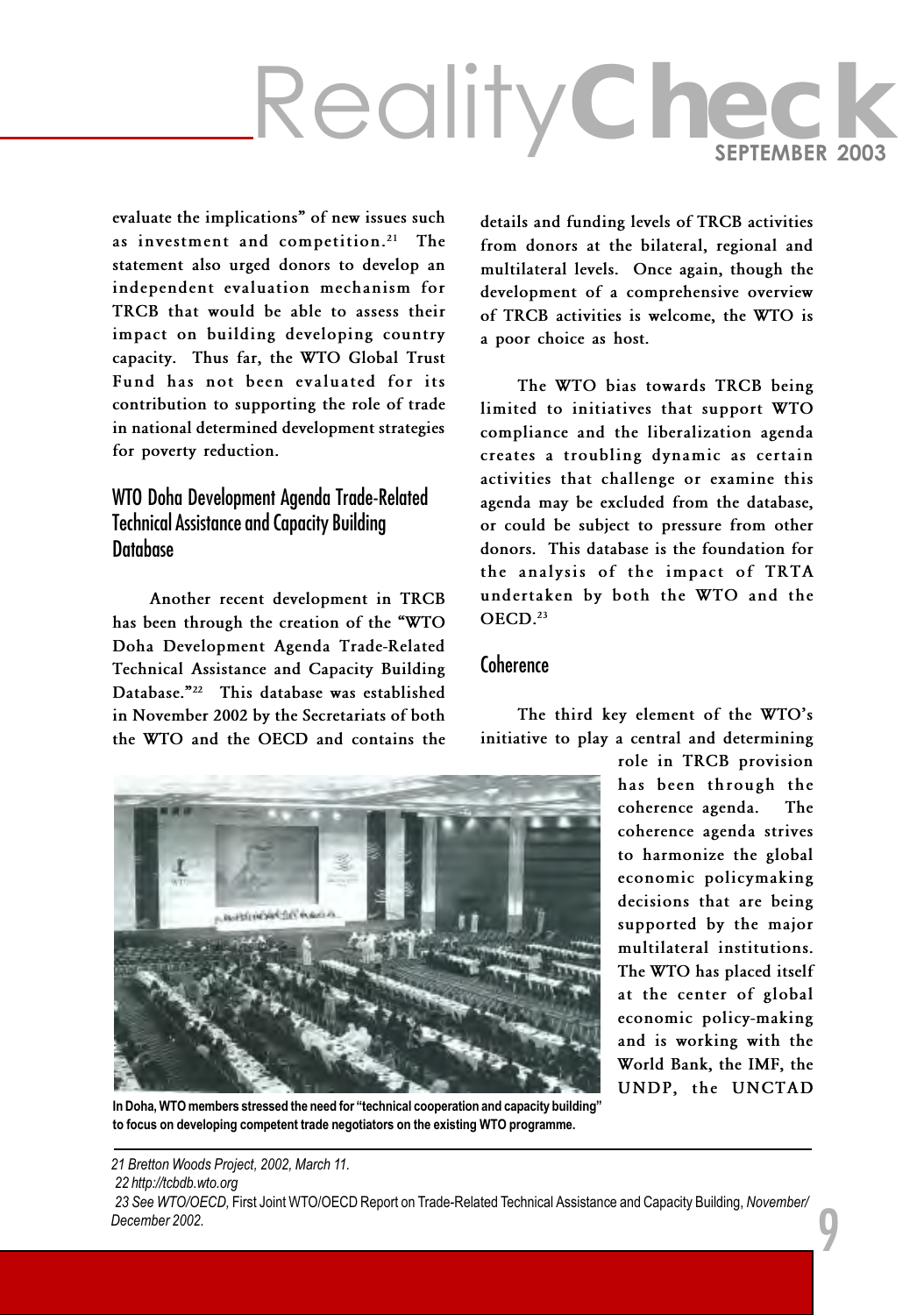# RealityCheck

evaluate the implications" of new issues such as investment and competition.<sup>21</sup> The statement also urged donors to develop an independent evaluation mechanism for TRCB that would be able to assess their impact on building developing country capacity. Thus far, the WTO Global Trust Fund has not been evaluated for its contribution to supporting the role of trade in national determined development strategies for poverty reduction.

#### WTO Doha Development Agenda Trade-Related Technical Assistance and Capacity Building **Database**

Another recent development in TRCB has been through the creation of the WTO Doha Development Agenda Trade-Related Technical Assistance and Capacity Building Database."<sup>22</sup> This database was established in November 2002 by the Secretariats of both the WTO and the OECD and contains the details and funding levels of TRCB activities from donors at the bilateral, regional and multilateral levels. Once again, though the development of a comprehensive overview of TRCB activities is welcome, the WTO is a poor choice as host.

The WTO bias towards TRCB being limited to initiatives that support WTO compliance and the liberalization agenda creates a troubling dynamic as certain activities that challenge or examine this agenda may be excluded from the database, or could be subject to pressure from other donors. This database is the foundation for the analysis of the impact of TRTA undertaken by both the WTO and the OECD.<sup>23</sup>

#### Coherence

The third key element of the WTO's initiative to play a central and determining

> role in TRCB provision has been through the coherence agenda. The coherence agenda strives to harmonize the global economic policymaking decisions that are being supported by the major multilateral institutions. The WTO has placed itself at the center of global economic policy-making and is working with the World Bank, the IMF, the UNDP, the UNCTAD

> > 9



In Doha, WTO members stressed the need for "technical cooperation and capacity building" to focus on developing competent trade negotiators on the existing WTO programme.

21 Bretton Woods Project, 2002, March 11. 22 http://tcbdb.wto.org 23 See WTO/OECD, First Joint WTO/OECD Report on Trade-Related Technical Assistance and Capacity Building, November/ December 2002.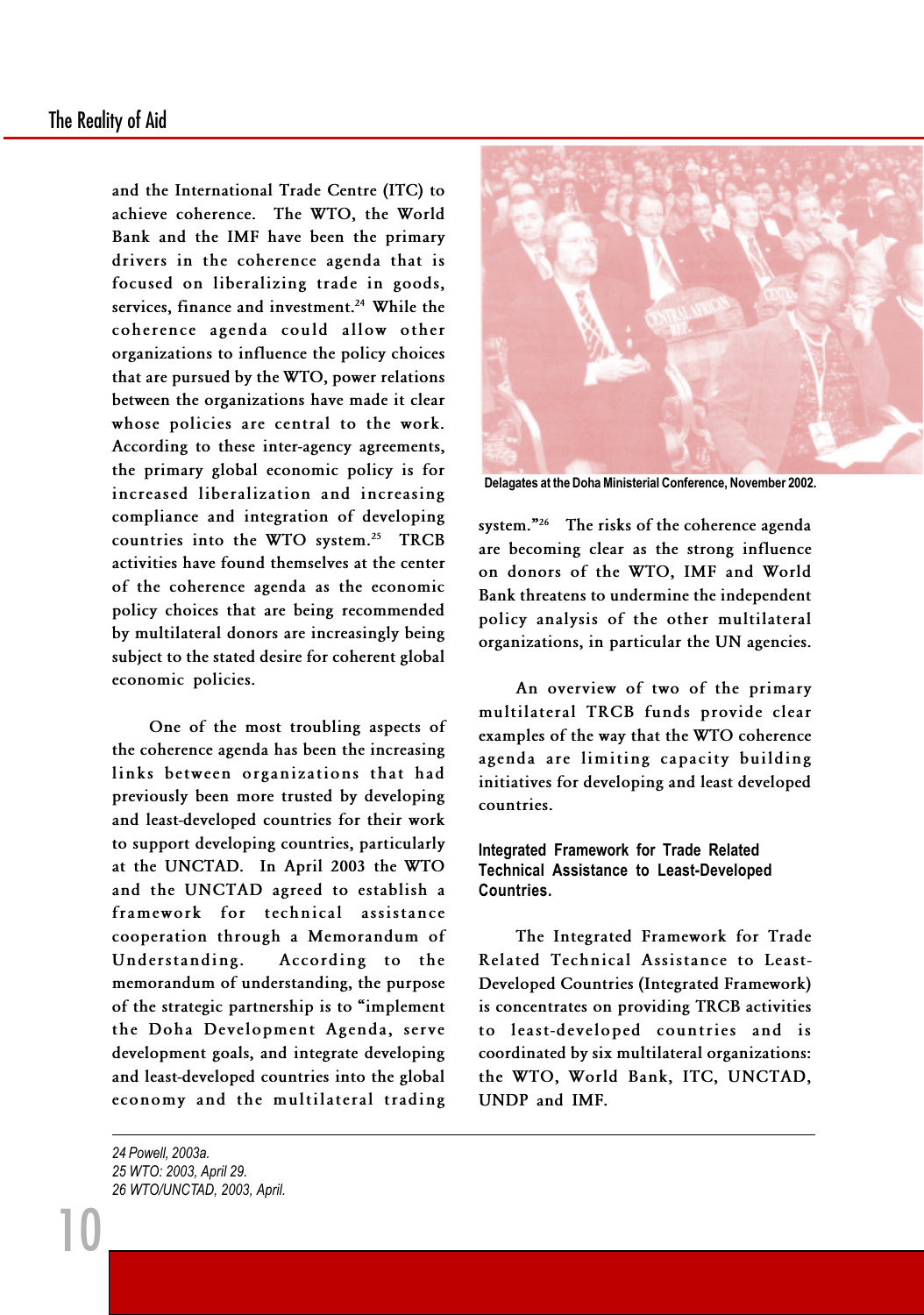#### The Reality of Aid

and the International Trade Centre (ITC) to achieve coherence. The WTO, the World Bank and the IMF have been the primary drivers in the coherence agenda that is focused on liberalizing trade in goods, services, finance and investment.<sup>24</sup> While the coherence agenda could allow other organizations to influence the policy choices that are pursued by the WTO, power relations between the organizations have made it clear whose policies are central to the work. According to these inter-agency agreements, the primary global economic policy is for increased liberalization and increasing compliance and integration of developing countries into the WTO system.<sup>25</sup> TRCB activities have found themselves at the center of the coherence agenda as the economic policy choices that are being recommended by multilateral donors are increasingly being subject to the stated desire for coherent global economic policies.

One of the most troubling aspects of the coherence agenda has been the increasing links between organizations that had previously been more trusted by developing and least-developed countries for their work to support developing countries, particularly at the UNCTAD. In April 2003 the WTO and the UNCTAD agreed to establish a framework for technical assistance cooperation through a Memorandum of Understanding. According to the memorandum of understanding, the purpose of the strategic partnership is to "implement the Doha Development Agenda, serve development goals, and integrate developing and least-developed countries into the global economy and the multilateral trading



Delagates at the Doha Ministerial Conference, November 2002.

system."<sup>26</sup> The risks of the coherence agenda are becoming clear as the strong influence on donors of the WTO, IMF and World Bank threatens to undermine the independent policy analysis of the other multilateral organizations, in particular the UN agencies.

An overview of two of the primary multilateral TRCB funds provide clear examples of the way that the WTO coherence agenda are limiting capacity building initiatives for developing and least developed countries.

#### Integrated Framework for Trade Related Technical Assistance to Least-Developed Countries.

The Integrated Framework for Trade Related Technical Assistance to Least-Developed Countries (Integrated Framework) is concentrates on providing TRCB activities to least-developed countries and is coordinated by six multilateral organizations: the WTO, World Bank, ITC, UNCTAD, UNDP and IMF.

24 Powell, 2003a. 25 WTO: 2003, April 29. 26 WTO/UNCTAD, 2003, April.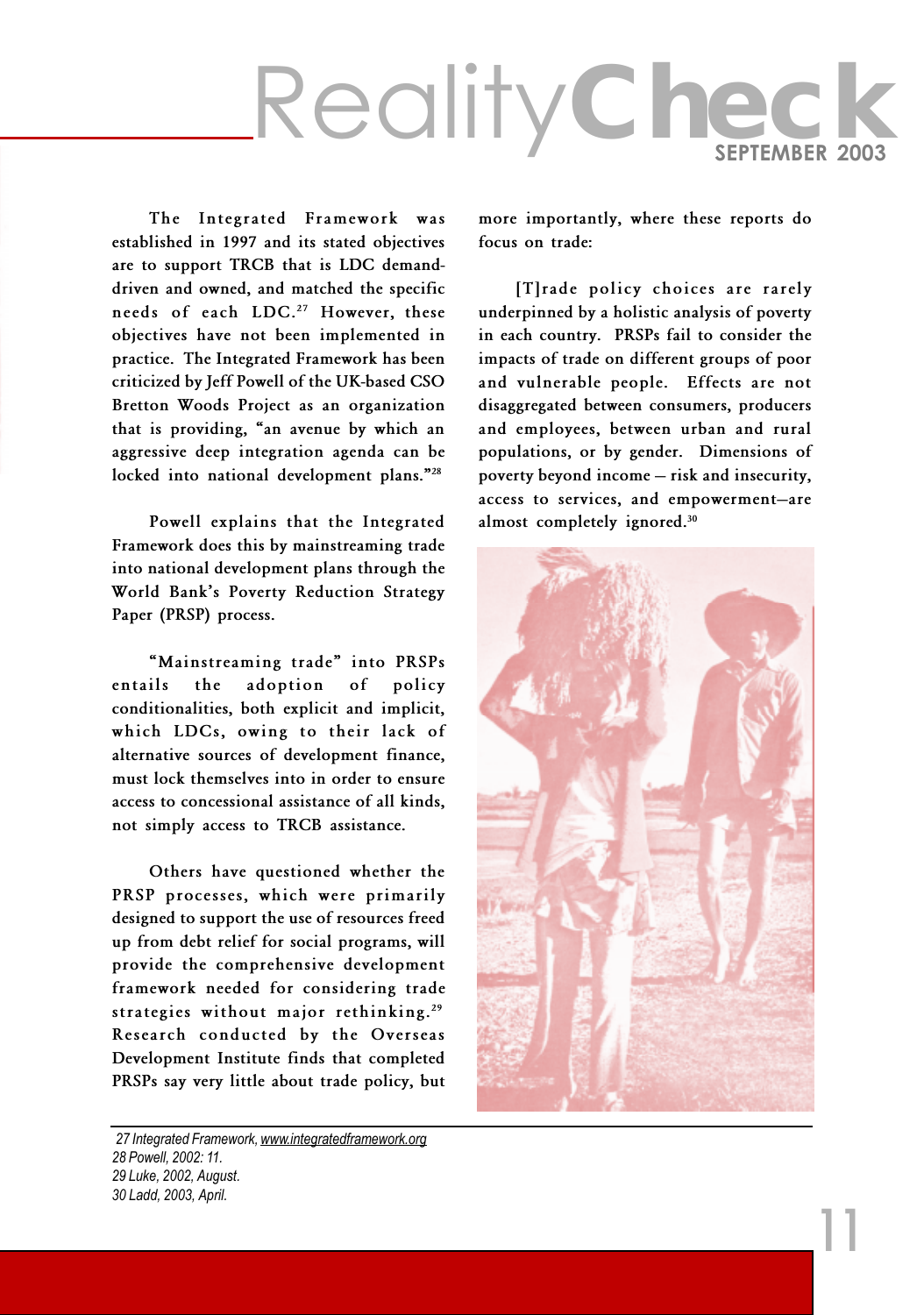## RealityCheck

The Integrated Framework was established in 1997 and its stated objectives are to support TRCB that is LDC demanddriven and owned, and matched the specific needs of each LDC.<sup>27</sup> However, these objectives have not been implemented in practice. The Integrated Framework has been criticized by Jeff Powell of the UK-based CSO Bretton Woods Project as an organization that is providing, "an avenue by which an aggressive deep integration agenda can be locked into national development plans."<sup>28</sup>

Powell explains that the Integrated Framework does this by mainstreaming trade into national development plans through the World Bank's Poverty Reduction Strategy Paper (PRSP) process.

"Mainstreaming trade" into PRSPs entails the adoption of policy conditionalities, both explicit and implicit, which LDCs, owing to their lack of alternative sources of development finance, must lock themselves into in order to ensure access to concessional assistance of all kinds, not simply access to TRCB assistance.

Others have questioned whether the PRSP processes, which were primarily designed to support the use of resources freed up from debt relief for social programs, will provide the comprehensive development framework needed for considering trade strategies without major rethinking.<sup>29</sup> Research conducted by the Overseas Development Institute finds that completed PRSPs say very little about trade policy, but

27 Integrated Framework, www.integratedframework.org 28 Powell, 2002: 11. 29 Luke, 2002, August. 30 Ladd, 2003, April.

more importantly, where these reports do focus on trade:

[T]rade policy choices are rarely underpinned by a holistic analysis of poverty in each country. PRSPs fail to consider the impacts of trade on different groups of poor and vulnerable people. Effects are not disaggregated between consumers, producers and employees, between urban and rural populations, or by gender. Dimensions of poverty beyond income - risk and insecurity, access to services, and empowerment-are almost completely ignored.<sup>30</sup>

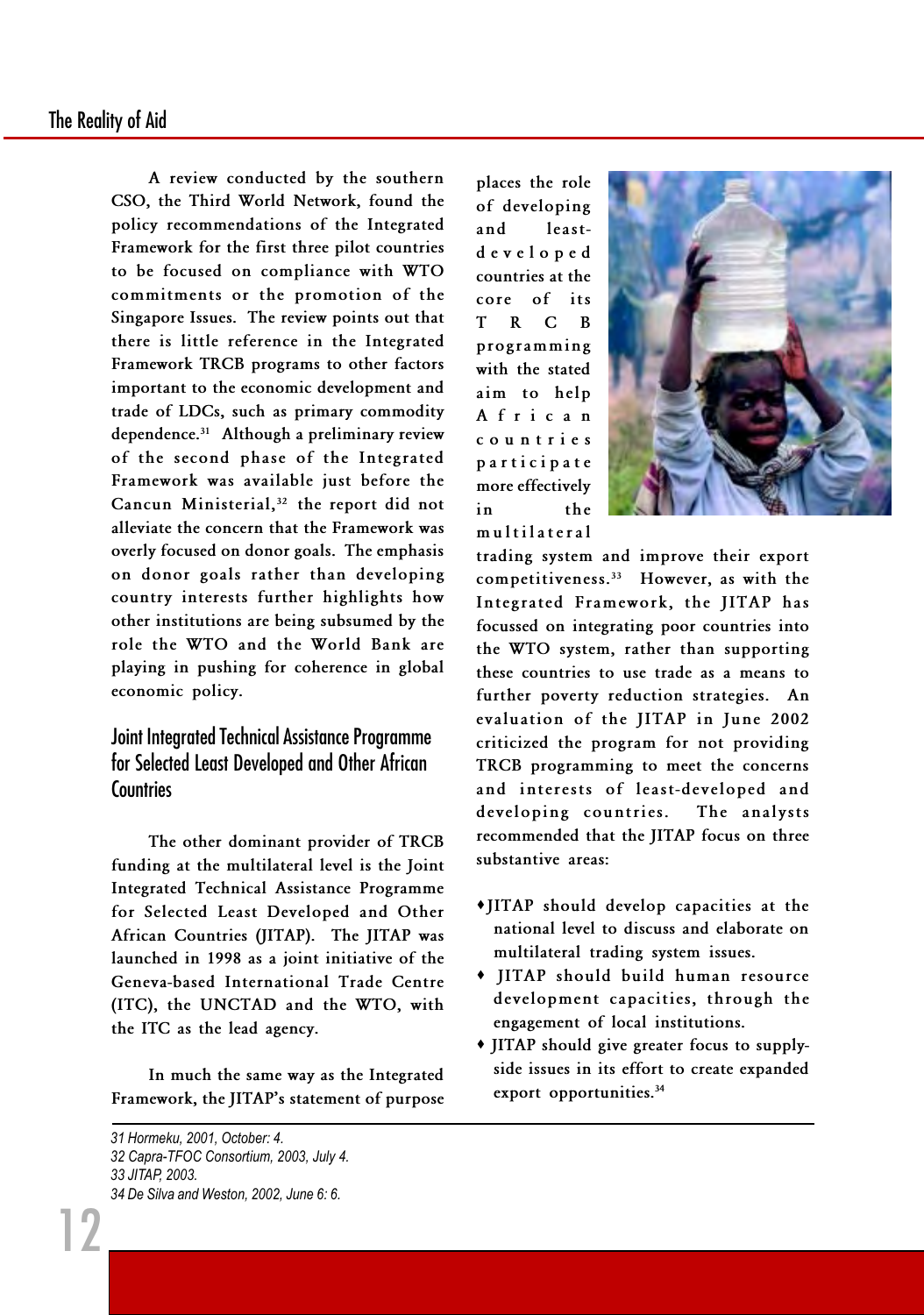A review conducted by the southern CSO, the Third World Network, found the policy recommendations of the Integrated Framework for the first three pilot countries to be focused on compliance with WTO commitments or the promotion of the Singapore Issues. The review points out that there is little reference in the Integrated Framework TRCB programs to other factors important to the economic development and trade of LDCs, such as primary commodity dependence.<sup>31</sup> Although a preliminary review of the second phase of the Integrated Framework was available just before the Cancun Ministerial,<sup>32</sup> the report did not alleviate the concern that the Framework was overly focused on donor goals. The emphasis on donor goals rather than developing country interests further highlights how other institutions are being subsumed by the role the WTO and the World Bank are playing in pushing for coherence in global economic policy.

#### Joint Integrated Technical Assistance Programme for Selected Least Developed and Other African **Countries**

The other dominant provider of TRCB funding at the multilateral level is the Joint Integrated Technical Assistance Programme for Selected Least Developed and Other African Countries (JITAP). The JITAP was launched in 1998 as a joint initiative of the Geneva-based International Trade Centre (ITC), the UNCTAD and the WTO, with the ITC as the lead agency.

In much the same way as the Integrated Framework, the JITAP's statement of purpose

31 Hormeku, 2001, October: 4. 32 Capra-TFOC Consortium, 2003, July 4. 33 JITAP, 2003. 34 De Silva and Weston, 2002, June 6: 6.

12

places the role of developing and leastdeveloped countries at the core of its T R C B programming with the stated aim to help African countries participate more effectively in the multilateral



trading system and improve their export competitiveness.<sup>33</sup> However, as with the Integrated Framework, the JITAP has focussed on integrating poor countries into the WTO system, rather than supporting these countries to use trade as a means to further poverty reduction strategies. An evaluation of the JITAP in June 2002 criticized the program for not providing TRCB programming to meet the concerns and interests of least-developed and developing countries. The analysts recommended that the JITAP focus on three substantive areas:

- ·JITAP should develop capacities at the national level to discuss and elaborate on multilateral trading system issues.
- · JITAP should build human resource development capacities, through the engagement of local institutions.
- · JITAP should give greater focus to supplyside issues in its effort to create expanded export opportunities.<sup>34</sup>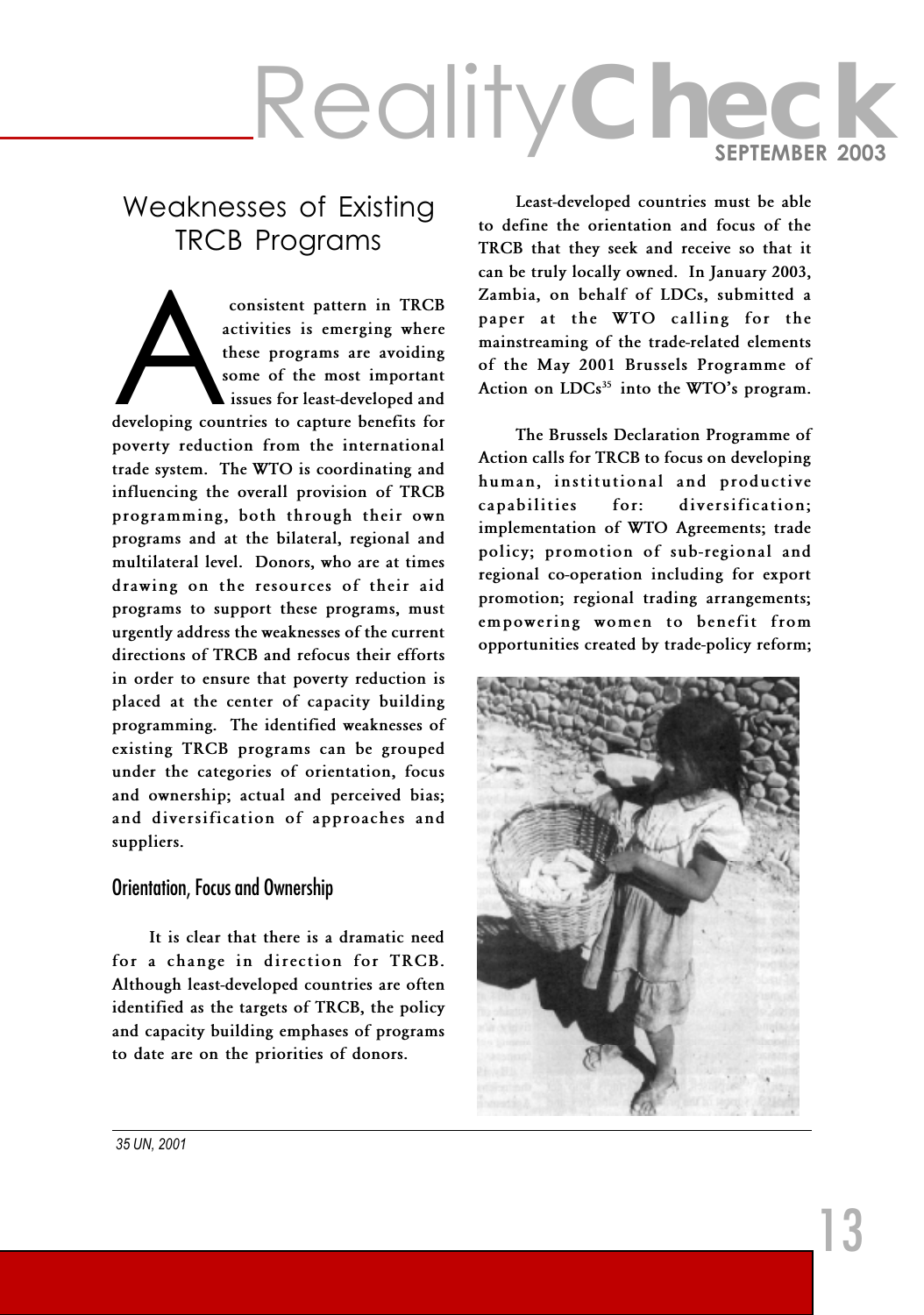#### Weaknesses of Existing TRCB Programs

consistent pattern in TRCB<br>
activities is emerging where<br>
these programs are avoiding<br>
some of the most important<br>
issues for least-developed and<br>
developing countries to capture benefits for activities is emerging where these programs are avoiding some of the most important issues for least-developed and poverty reduction from the international trade system. The WTO is coordinating and influencing the overall provision of TRCB programming, both through their own programs and at the bilateral, regional and multilateral level. Donors, who are at times drawing on the resources of their aid programs to support these programs, must urgently address the weaknesses of the current directions of TRCB and refocus their efforts in order to ensure that poverty reduction is placed at the center of capacity building programming. The identified weaknesses of existing TRCB programs can be grouped under the categories of orientation, focus and ownership; actual and perceived bias; and diversification of approaches and suppliers.

#### Orientation, Focus and Ownership

It is clear that there is a dramatic need for a change in direction for TRCB. Although least-developed countries are often identified as the targets of TRCB, the policy and capacity building emphases of programs to date are on the priorities of donors.

Least-developed countries must be able to define the orientation and focus of the TRCB that they seek and receive so that it can be truly locally owned. In January 2003, Zambia, on behalf of LDCs, submitted a paper at the WTO calling for the mainstreaming of the trade-related elements of the May 2001 Brussels Programme of Action on  $LDCs<sup>35</sup>$  into the WTO's program.

The Brussels Declaration Programme of Action calls for TRCB to focus on developing human, institutional and productive capabilities for: diversification; implementation of WTO Agreements; trade policy; promotion of sub-regional and regional co-operation including for export promotion; regional trading arrangements; empowering women to benefit from opportunities created by trade-policy reform;



35 UN, 2001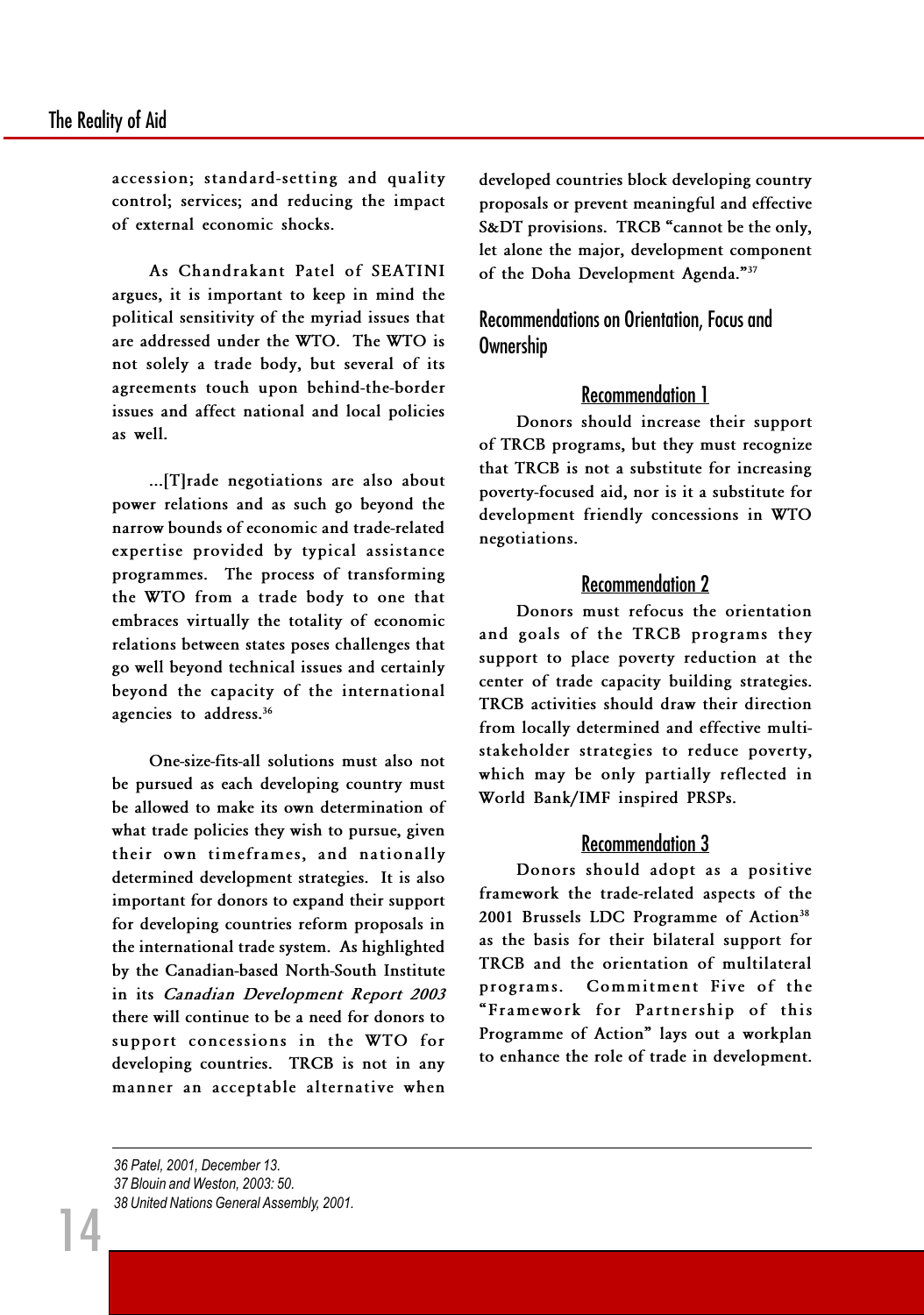accession; standard-setting and quality control; services; and reducing the impact of external economic shocks.

As Chandrakant Patel of SEATINI argues, it is important to keep in mind the political sensitivity of the myriad issues that are addressed under the WTO. The WTO is not solely a trade body, but several of its agreements touch upon behind-the-border issues and affect national and local policies as well.

...[T]rade negotiations are also about power relations and as such go beyond the narrow bounds of economic and trade-related expertise provided by typical assistance programmes. The process of transforming the WTO from a trade body to one that embraces virtually the totality of economic relations between states poses challenges that go well beyond technical issues and certainly beyond the capacity of the international agencies to address.<sup>36</sup>

One-size-fits-all solutions must also not be pursued as each developing country must be allowed to make its own determination of what trade policies they wish to pursue, given their own timeframes, and nationally determined development strategies. It is also important for donors to expand their support for developing countries reform proposals in the international trade system. As highlighted by the Canadian-based North-South Institute in its Canadian Development Report 2003 there will continue to be a need for donors to support concessions in the WTO for developing countries. TRCB is not in any manner an acceptable alternative when

developed countries block developing country proposals or prevent meaningful and effective S&DT provisions. TRCB "cannot be the only, let alone the major, development component of the Doha Development Agenda."37

Recommendations on Orientation, Focus and Ownership

#### Recommendation 1

Donors should increase their support of TRCB programs, but they must recognize that TRCB is not a substitute for increasing poverty-focused aid, nor is it a substitute for development friendly concessions in WTO negotiations.

#### Recommendation 2

Donors must refocus the orientation and goals of the TRCB programs they support to place poverty reduction at the center of trade capacity building strategies. TRCB activities should draw their direction from locally determined and effective multistakeholder strategies to reduce poverty, which may be only partially reflected in World Bank/IMF inspired PRSPs.

#### Recommendation 3

Donors should adopt as a positive framework the trade-related aspects of the 2001 Brussels LDC Programme of Action<sup>38</sup> as the basis for their bilateral support for TRCB and the orientation of multilateral programs. Commitment Five of the Framework for Partnership of this Programme of Action" lays out a workplan to enhance the role of trade in development.

36 Patel, 2001, December 13. 37 Blouin and Weston, 2003: 50. 38 United Nations General Assembly, 2001.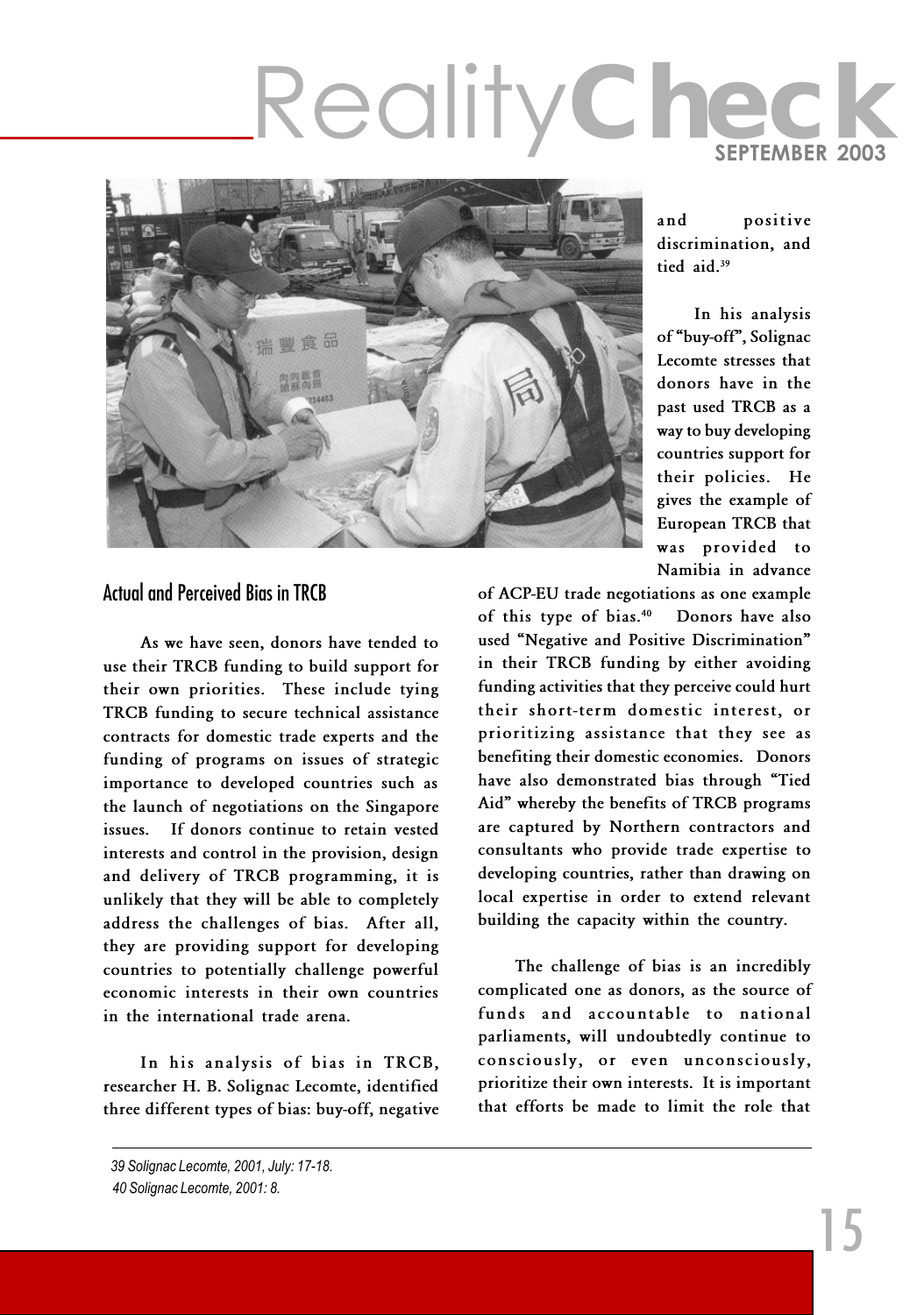

#### and positive discrimination, and tied aid.<sup>39</sup>

In his analysis of "buy-off", Solignac Lecomte stresses that donors have in the past used TRCB as a way to buy developing countries support for their policies. He gives the example of European TRCB that was provided to Namibia in advance

of ACP-EU trade negotiations as one example of this type of bias.<sup>40</sup> Donors have also used "Negative and Positive Discrimination" in their TRCB funding by either avoiding funding activities that they perceive could hurt their short-term domestic interest, or prioritizing assistance that they see as benefiting their domestic economies. Donors have also demonstrated bias through "Tied Aid" whereby the benefits of TRCB programs are captured by Northern contractors and consultants who provide trade expertise to developing countries, rather than drawing on local expertise in order to extend relevant building the capacity within the country.

The challenge of bias is an incredibly complicated one as donors, as the source of funds and accountable to national parliaments, will undoubtedly continue to consciously, or even unconsciously, prioritize their own interests. It is important that efforts be made to limit the role that

#### Actual and Perceived Bias in TRCB

As we have seen, donors have tended to use their TRCB funding to build support for their own priorities. These include tying TRCB funding to secure technical assistance contracts for domestic trade experts and the funding of programs on issues of strategic importance to developed countries such as the launch of negotiations on the Singapore issues. If donors continue to retain vested interests and control in the provision, design and delivery of TRCB programming, it is unlikely that they will be able to completely address the challenges of bias. After all, they are providing support for developing countries to potentially challenge powerful economic interests in their own countries in the international trade arena.

In his analysis of bias in TRCB, researcher H. B. Solignac Lecomte, identified three different types of bias: buy-off, negative

<sup>39</sup> Solignac Lecomte, 2001, July: 17-18. 40 Solignac Lecomte, 2001: 8.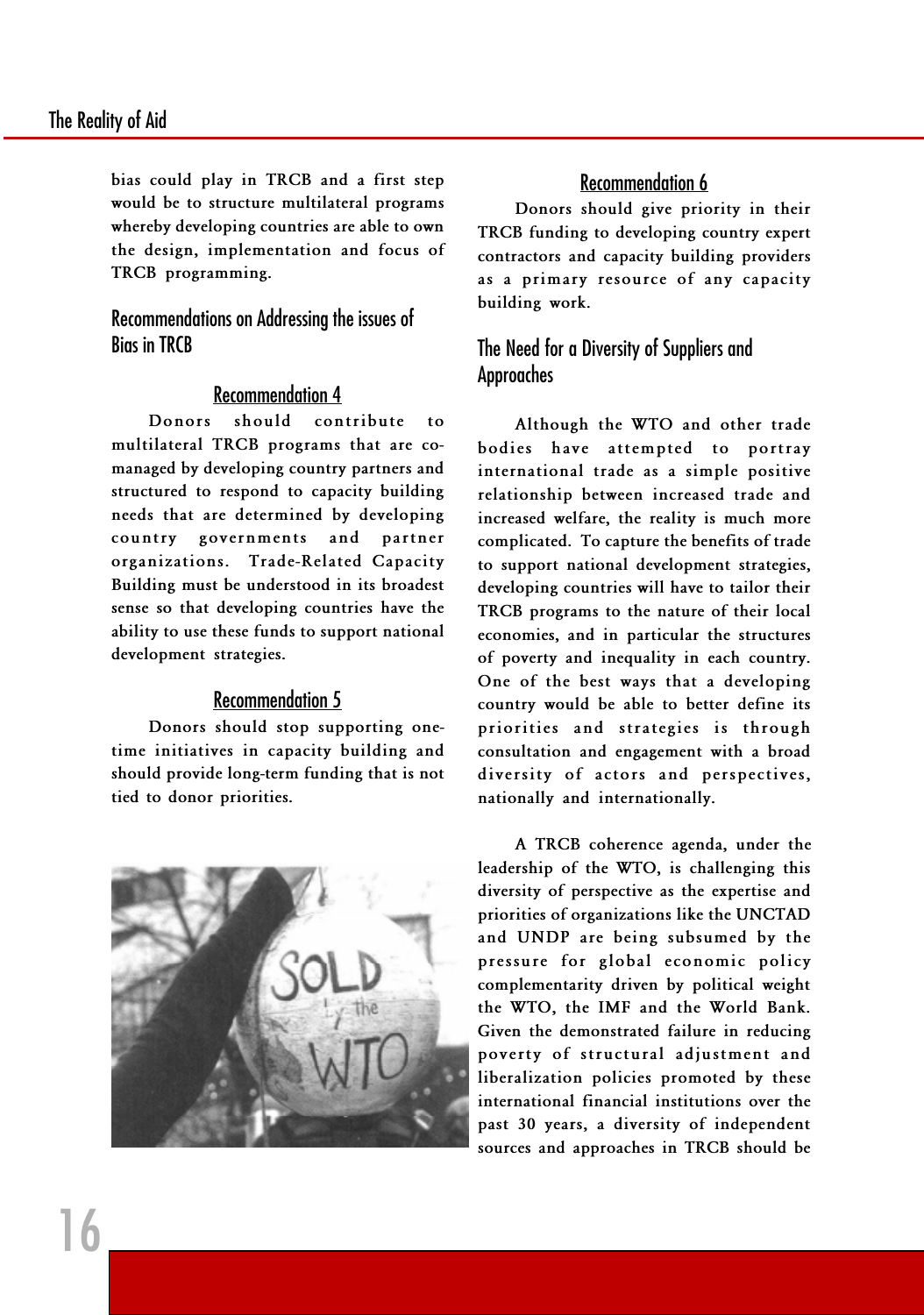bias could play in TRCB and a first step would be to structure multilateral programs whereby developing countries are able to own the design, implementation and focus of TRCB programming.

Recommendations on Addressing the issues of Bias in TRCB

#### Recommendation 4

Donors should contribute to multilateral TRCB programs that are comanaged by developing country partners and structured to respond to capacity building needs that are determined by developing country governments and partner organizations. Trade-Related Capacity Building must be understood in its broadest sense so that developing countries have the ability to use these funds to support national development strategies.

#### Recommendation 5

Donors should stop supporting onetime initiatives in capacity building and should provide long-term funding that is not tied to donor priorities.



#### Recommendation 6

Donors should give priority in their TRCB funding to developing country expert contractors and capacity building providers as a primary resource of any capacity building work.

#### The Need for a Diversity of Suppliers and Approaches

Although the WTO and other trade bodies have attempted to portray international trade as a simple positive relationship between increased trade and increased welfare, the reality is much more complicated. To capture the benefits of trade to support national development strategies, developing countries will have to tailor their TRCB programs to the nature of their local economies, and in particular the structures of poverty and inequality in each country. One of the best ways that a developing country would be able to better define its priorities and strategies is through consultation and engagement with a broad diversity of actors and perspectives, nationally and internationally.

A TRCB coherence agenda, under the leadership of the WTO, is challenging this diversity of perspective as the expertise and priorities of organizations like the UNCTAD and UNDP are being subsumed by the pressure for global economic policy complementarity driven by political weight the WTO, the IMF and the World Bank. Given the demonstrated failure in reducing poverty of structural adjustment and liberalization policies promoted by these international financial institutions over the past 30 years, a diversity of independent sources and approaches in TRCB should be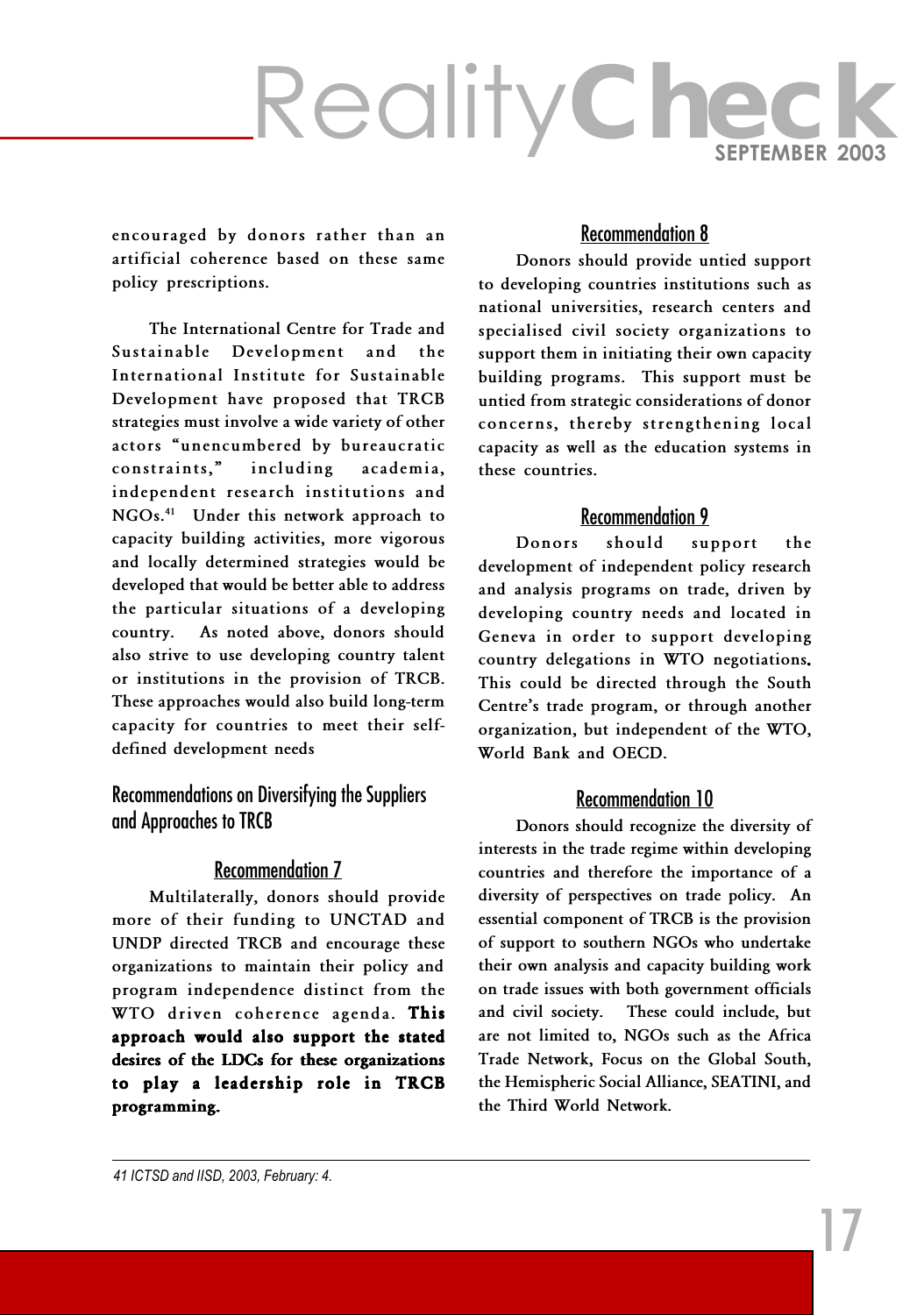encouraged by donors rather than an artificial coherence based on these same policy prescriptions.

The International Centre for Trade and Sustainable Development and the International Institute for Sustainable Development have proposed that TRCB strategies must involve a wide variety of other actors "unencumbered by bureaucratic constraints," including academia, independent research institutions and NGOs.<sup>41</sup> Under this network approach to capacity building activities, more vigorous and locally determined strategies would be developed that would be better able to address the particular situations of a developing country. As noted above, donors should also strive to use developing country talent or institutions in the provision of TRCB. These approaches would also build long-term capacity for countries to meet their selfdefined development needs

Recommendations on Diversifying the Suppliers and Approaches to TRCB

#### Recommendation 7

Multilaterally, donors should provide more of their funding to UNCTAD and UNDP directed TRCB and encourage these organizations to maintain their policy and program independence distinct from the WTO driven coherence agenda. This approach would also support the stated desires of the LDCs for these organizations to play a leadership role in TRCB programming.

#### Recommendation 8

Donors should provide untied support to developing countries institutions such as national universities, research centers and specialised civil society organizations to support them in initiating their own capacity building programs. This support must be untied from strategic considerations of donor concerns, thereby strengthening local capacity as well as the education systems in these countries.

#### Recommendation 9

Donors should support the development of independent policy research and analysis programs on trade, driven by developing country needs and located in Geneva in order to support developing country delegations in WTO negotiations. This could be directed through the South Centre's trade program, or through another organization, but independent of the WTO, World Bank and OECD.

#### Recommendation 10

Donors should recognize the diversity of interests in the trade regime within developing countries and therefore the importance of a diversity of perspectives on trade policy. An essential component of TRCB is the provision of support to southern NGOs who undertake their own analysis and capacity building work on trade issues with both government officials and civil society. These could include, but are not limited to, NGOs such as the Africa Trade Network, Focus on the Global South, the Hemispheric Social Alliance, SEATINI, and the Third World Network.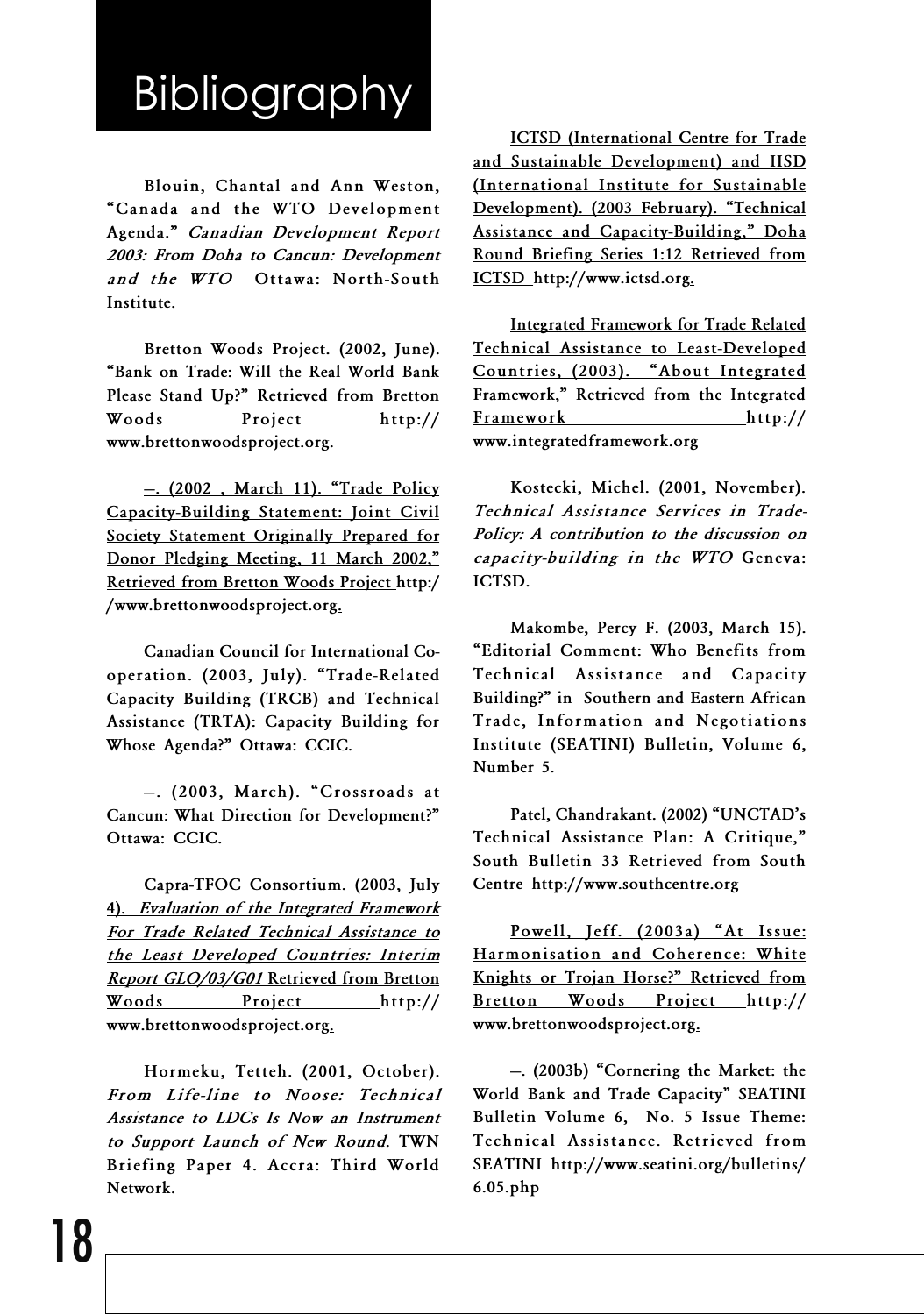## Bibliography

Blouin, Chantal and Ann Weston, Canada and the WTO Development Agenda." Canadian Development Report 2003: From Doha to Cancun: Development and the WTO Ottawa: North-South Institute.

Bretton Woods Project. (2002, June). Bank on Trade: Will the Real World Bank Please Stand Up?" Retrieved from Bretton Woods Project http:// www.brettonwoodsproject.org.

 $-$ . (2002, March 11). "Trade Policy Capacity-Building Statement: Joint Civil Society Statement Originally Prepared for Donor Pledging Meeting, 11 March 2002," Retrieved from Bretton Woods Project http:/ /www.brettonwoodsproject.org.

Canadian Council for International Cooperation. (2003, July). "Trade-Related Capacity Building (TRCB) and Technical Assistance (TRTA): Capacity Building for Whose Agenda?" Ottawa: CCIC.

-. (2003, March). "Crossroads at Cancun: What Direction for Development? Ottawa: CCIC.

Capra-TFOC Consortium. (2003, July 4). Evaluation of the Integrated Framework For Trade Related Technical Assistance to the Least Developed Countries: Interim Report GLO/03/G01 Retrieved from Bretton Woods Project http:// www.brettonwoodsproject.org.

Hormeku, Tetteh. (2001, October). From Life-line to Noose: Technical Assistance to LDCs Is Now an Instrument to Support Launch of New Round. TWN Briefing Paper 4. Accra: Third World Network.

ICTSD (International Centre for Trade and Sustainable Development) and IISD (International Institute for Sustainable Development). (2003 February). "Technical Assistance and Capacity-Building," Doha Round Briefing Series 1:12 Retrieved from ICTSD http://www.ictsd.org.

Integrated Framework for Trade Related Technical Assistance to Least-Developed Countries, (2003). "About Integrated Framework," Retrieved from the Integrated Framework http:// www.integratedframework.org

Kostecki, Michel. (2001, November). Technical Assistance Services in Trade-Policy: A contribution to the discussion on capacity-building in the WTO Geneva: ICTSD.

Makombe, Percy F. (2003, March 15). Editorial Comment: Who Benefits from Technical Assistance and Capacity Building?" in Southern and Eastern African Trade, Information and Negotiations Institute (SEATINI) Bulletin, Volume 6, Number 5.

Patel, Chandrakant. (2002) "UNCTAD's Technical Assistance Plan: A Critique, South Bulletin 33 Retrieved from South Centre http://www.southcentre.org

Powell, Jeff. (2003a) "At Issue: Harmonisation and Coherence: White Knights or Trojan Horse?" Retrieved from Bretton Woods Project http:// www.brettonwoodsproject.org.

. (2003b) Cornering the Market: the World Bank and Trade Capacity" SEATINI Bulletin Volume 6, No. 5 Issue Theme: Technical Assistance. Retrieved from SEATINI http://www.seatini.org/bulletins/ 6.05.php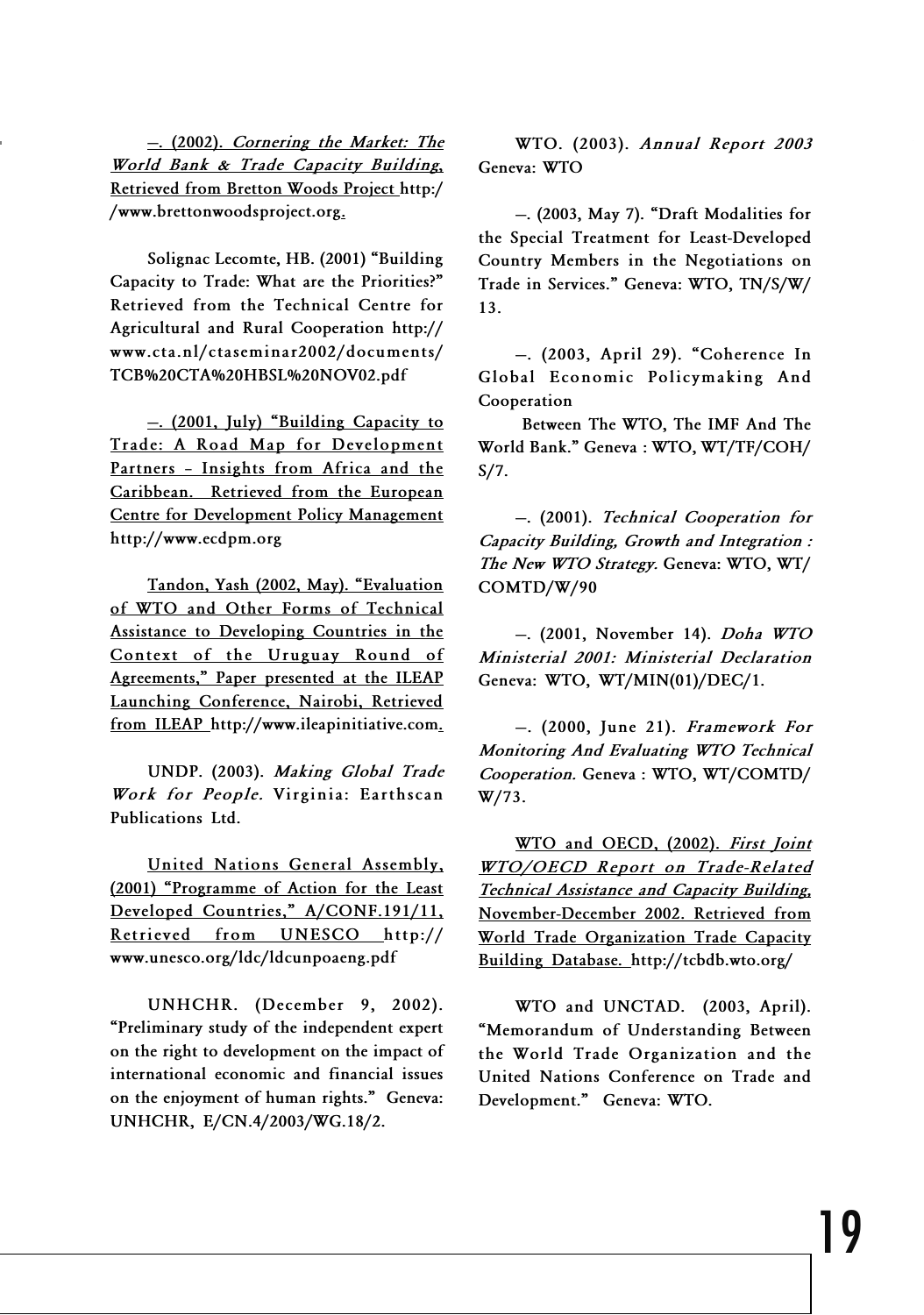World Bank & Trade Capacity Building, Retrieved from Bretton Woods Project http:/ /www.brettonwoodsproject.org.

Solignac Lecomte, HB. (2001) "Building Capacity to Trade: What are the Priorities? Retrieved from the Technical Centre for Agricultural and Rural Cooperation http:// www.cta.nl/ctaseminar2002/documents/ TCB%20CTA%20HBSL%20NOV02.pdf

-. (2001, July) "Building Capacity to Trade: A Road Map for Development Partners - Insights from Africa and the Caribbean. Retrieved from the European Centre for Development Policy Management http://www.ecdpm.org

Tandon, Yash (2002, May). Evaluation of WTO and Other Forms of Technical Assistance to Developing Countries in the Context of the Uruguay Round of Agreements," Paper presented at the ILEAP Launching Conference, Nairobi, Retrieved from ILEAP http://www.ileapinitiative.com.

UNDP. (2003). Making Global Trade Work for People. Virginia: Earthscan Publications Ltd.

United Nations General Assembly, (2001) Programme of Action for the Least Developed Countries," A/CONF.191/11, Retrieved from UNESCO http:// www.unesco.org/ldc/ldcunpoaeng.pdf

UNHCHR. (December 9, 2002). Preliminary study of the independent expert on the right to development on the impact of international economic and financial issues on the enjoyment of human rights." Geneva: UNHCHR, E/CN.4/2003/WG.18/2.

nering the Market: The<br>National **Contract of Community** WTO. (2003). Annual Report 2003 –. <u>(2002). Cornering the Market: The</u> WTO. (2003). Annual Report 2003<br>ld Bank & Trade Capacity Building. Ceneya: WTO Geneva: WTO

> . (2003, May 7). Draft Modalities for the Special Treatment for Least-Developed Country Members in the Negotiations on Trade in Services." Geneva: WTO, TN/S/W/ 13.

> -. (2003, April 29). "Coherence In Global Economic Policymaking And Cooperation

> Between The WTO, The IMF And The World Bank." Geneva: WTO, WT/TF/COH/ S/7.

> . (2001). Technical Cooperation for Capacity Building, Growth and Integration : The New WTO Strategy. Geneva: WTO, WT/ COMTD/W/90

> . (2001, November 14). Doha WTO Ministerial 2001: Ministerial Declaration Geneva: WTO, WT/MIN(01)/DEC/1.

> $-$ . (2000, June 21). Framework For Monitoring And Evaluating WTO Technical Cooperation. Geneva : WTO, WT/COMTD/ W/73.

> WTO and OECD, (2002). First Joint WTO/OECD Report on Trade-Related Technical Assistance and Capacity Building, November-December 2002. Retrieved from World Trade Organization Trade Capacity Building Database. http://tcbdb.wto.org/

> WTO and UNCTAD. (2003, April). Memorandum of Understanding Between the World Trade Organization and the United Nations Conference on Trade and Development." Geneva: WTO.